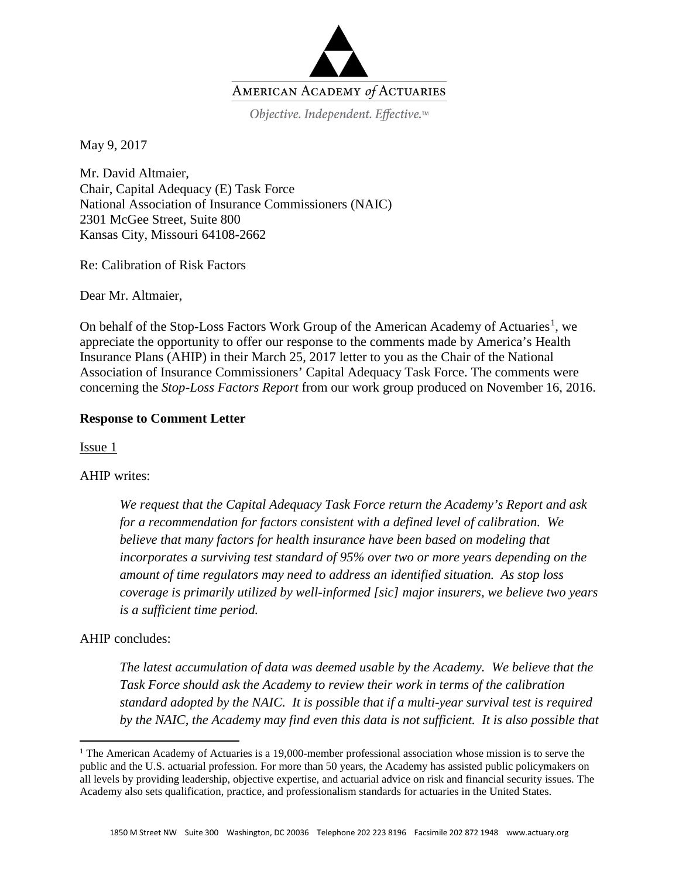

Objective. Independent. Effective.™

May 9, 2017

Mr. David Altmaier, Chair, Capital Adequacy (E) Task Force National Association of Insurance Commissioners (NAIC) 2301 McGee Street, Suite 800 Kansas City, Missouri 64108-2662

Re: Calibration of Risk Factors

Dear Mr. Altmaier,

On behalf of the Stop-Loss Factors Work Group of the American Academy of Actuaries<sup>[1](#page-0-0)</sup>, we appreciate the opportunity to offer our response to the comments made by America's Health Insurance Plans (AHIP) in their March 25, 2017 letter to you as the Chair of the National Association of Insurance Commissioners' Capital Adequacy Task Force. The comments were concerning the *Stop-Loss Factors Report* from our work group produced on November 16, 2016.

## **Response to Comment Letter**

Issue 1

## AHIP writes:

*We request that the Capital Adequacy Task Force return the Academy's Report and ask for a recommendation for factors consistent with a defined level of calibration. We believe that many factors for health insurance have been based on modeling that incorporates a surviving test standard of 95% over two or more years depending on the amount of time regulators may need to address an identified situation. As stop loss coverage is primarily utilized by well-informed [sic] major insurers, we believe two years is a sufficient time period.* 

## AHIP concludes:

 $\overline{a}$ 

*The latest accumulation of data was deemed usable by the Academy. We believe that the Task Force should ask the Academy to review their work in terms of the calibration standard adopted by the NAIC. It is possible that if a multi-year survival test is required by the NAIC, the Academy may find even this data is not sufficient. It is also possible that* 

<span id="page-0-0"></span><sup>&</sup>lt;sup>1</sup> The American Academy of Actuaries is a 19,000-member professional association whose mission is to serve the public and the U.S. actuarial profession. For more than 50 years, the Academy has assisted public policymakers on all levels by providing leadership, objective expertise, and actuarial advice on risk and financial security issues. The Academy also sets qualification, practice, and professionalism standards for actuaries in the United States.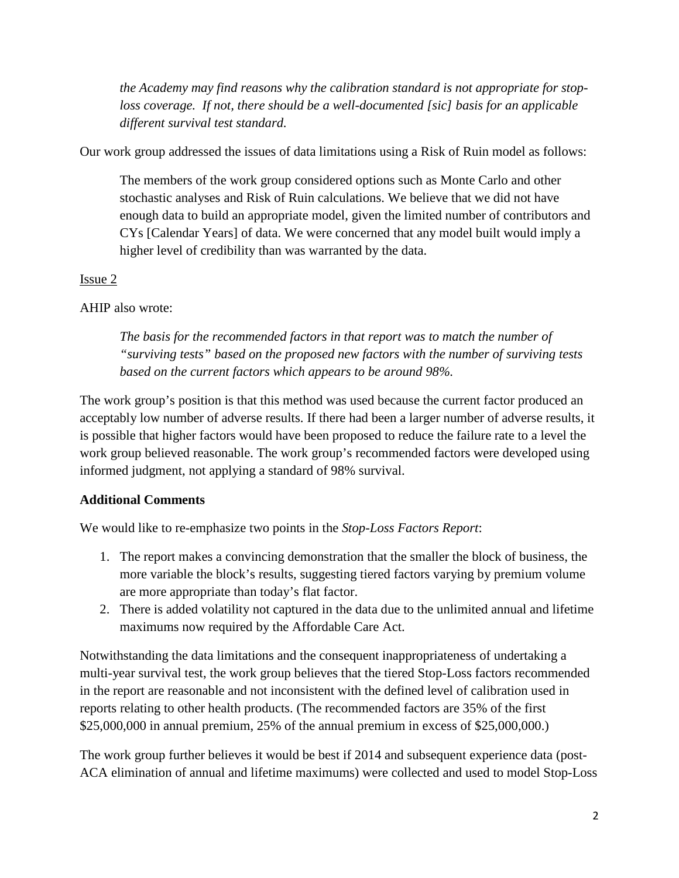*the Academy may find reasons why the calibration standard is not appropriate for stoploss coverage. If not, there should be a well-documented [sic] basis for an applicable different survival test standard.* 

Our work group addressed the issues of data limitations using a Risk of Ruin model as follows:

The members of the work group considered options such as Monte Carlo and other stochastic analyses and Risk of Ruin calculations. We believe that we did not have enough data to build an appropriate model, given the limited number of contributors and CYs [Calendar Years] of data. We were concerned that any model built would imply a higher level of credibility than was warranted by the data.

## Issue 2

## AHIP also wrote:

*The basis for the recommended factors in that report was to match the number of "surviving tests" based on the proposed new factors with the number of surviving tests based on the current factors which appears to be around 98%.*

The work group's position is that this method was used because the current factor produced an acceptably low number of adverse results. If there had been a larger number of adverse results, it is possible that higher factors would have been proposed to reduce the failure rate to a level the work group believed reasonable. The work group's recommended factors were developed using informed judgment, not applying a standard of 98% survival.

# **Additional Comments**

We would like to re-emphasize two points in the *Stop-Loss Factors Report*:

- 1. The report makes a convincing demonstration that the smaller the block of business, the more variable the block's results, suggesting tiered factors varying by premium volume are more appropriate than today's flat factor.
- 2. There is added volatility not captured in the data due to the unlimited annual and lifetime maximums now required by the Affordable Care Act.

Notwithstanding the data limitations and the consequent inappropriateness of undertaking a multi-year survival test, the work group believes that the tiered Stop-Loss factors recommended in the report are reasonable and not inconsistent with the defined level of calibration used in reports relating to other health products. (The recommended factors are 35% of the first \$25,000,000 in annual premium, 25% of the annual premium in excess of \$25,000,000.)

The work group further believes it would be best if 2014 and subsequent experience data (post-ACA elimination of annual and lifetime maximums) were collected and used to model Stop-Loss